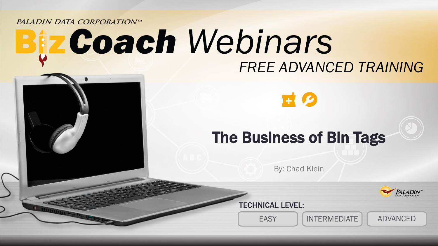PALADIN DATA CORPORATIONTM

# tz Coach Webinars **FREE ADVANCED TRAINING**



## The Business of Bin Tags

By: Chad Klein



TECHNICAL LEVEL:

EASY INTERMEDIATE ADVANCED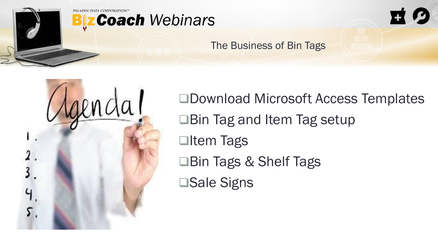







**□Download Microsoft Access Templates** □Bin Tag and Item Tag setup  $\Box$ Item Tags **□Bin Tags & Shelf Tags □Sale Signs**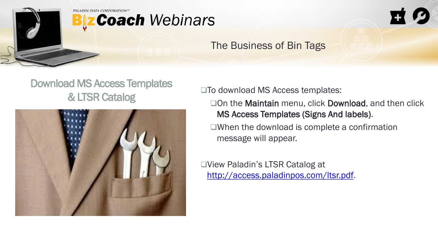

#### PALADIN DATA CORPORATION" **Biz Coach Webinars**



#### The Business of Bin Tags

#### Download MS Access Templates Examples: Examples: ■To download MS Access templates:<br>& LTSR Catalog



□On the Maintain menu, click Download, and then click MS Access Templates (Signs And labels).

When the download is complete a confirmation message will appear.

View Paladin's LTSR Catalog at [http://access.paladinpos.com/ltsr.pdf.](http://access.paladinpos.com/ltsr.pdf)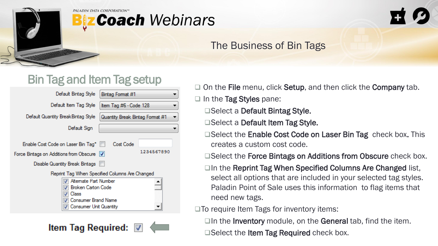

#### PALADIN DATA CORPORATION" **Biz Coach Webinars**



#### The Business of Bin Tags

### Bin Tag and Item Tag setup

| Default Bintag Style                                                                                                                                                                                                                                                                                          | Bintag Format #1                |
|---------------------------------------------------------------------------------------------------------------------------------------------------------------------------------------------------------------------------------------------------------------------------------------------------------------|---------------------------------|
| Default Item Tag Style                                                                                                                                                                                                                                                                                        | Item Tag #6 - Code 128          |
| Default Quantity BreakBintag Style                                                                                                                                                                                                                                                                            | Quantity Break Bintag Format #1 |
| Default Sign                                                                                                                                                                                                                                                                                                  |                                 |
| Cost Code<br>Enable Cost Code on Laser Bin Tag*<br>1234567890<br>Force Bintags on Additions from Obscure V<br>Disable Quantity Break Bintags<br>Reprint Tag When Specified Columns Are Changed<br>Altemate Part Number<br><b>Broken Carton Code</b><br>Class<br>Consumer Brand Name<br>Consumer Unit Quantity |                                 |
|                                                                                                                                                                                                                                                                                                               |                                 |



 $\Box$  On the File menu, click Setup, and then click the Company tab.

 $\Box$  In the Tag Styles pane:

 $\Box$  Select a Default Bintag Style.

□ Select a Default Item Tag Style.

**□Select the Enable Cost Code on Laser Bin Tag** check box. This creates a custom cost code.

□Select the Force Bintags on Additions from Obscure check box.

 $\Box$ In the Reprint Tag When Specified Columns Are Changed list, select all options that are included in your selected tag styles. Paladin Point of Sale uses this information to flag items that need new tags.

 $\Box$  To require Item Tags for inventory items:

 $\Box$  In the Inventory module, on the General tab, find the item. □ Select the Item Tag Required check box.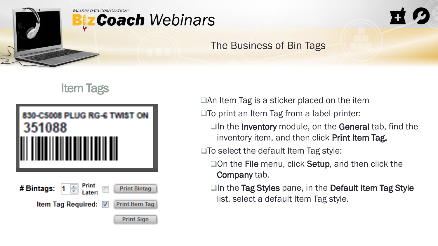

#### PALADIN DATA CORPORATION" **z Coach** Webinars



#### The Business of Bin Tags

#### Item Tags



- □An Item Tag is a sticker placed on the item
- □To print an Item Tag from a label printer:
	- $\Box$ In the Inventory module, on the General tab, find the inventory item, and then click **Print Item Tag.**
- $\square$  To select the default Item Tag style:
	- $\Box$  On the File menu, click Setup, and then click the Company tab.
	- □In the Tag Styles pane, in the Default Item Tag Style list, select a default Item Tag style.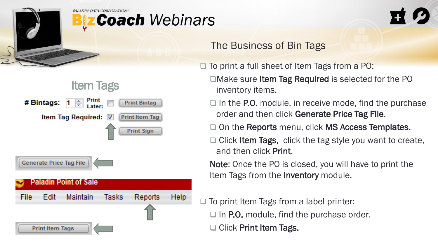





- $\Box$  To print a full sheet of Item Tags from a PO:
	- □Make sure Item Tag Required is selected for the PO inventory items.
	- $\Box$  In the P.O. module, in receive mode, find the purchase order and then click Generate Price Tag File.
	- $\Box$  On the Reports menu, click MS Access Templates.
	- $\Box$  Click Item Tags, click the tag style you want to create, and then click Print.

Note: Once the PO is closed, you will have to print the Item Tags from the **Inventory** module.

 $\Box$  To print Item Tags from a label printer:  $\Box$  In P.O. module, find the purchase order. □ Click Print Item Tags.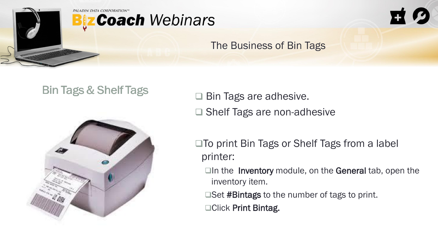



#### **Bin Tags & Shelf Tags**



- □ Bin Tags are adhesive.
- **□ Shelf Tags are non-adhesive**
- □ To print Bin Tags or Shelf Tags from a label printer:
	- $\Box$ In the Inventory module, on the General tab, open the inventory item.
	- $\square$  Set #Bintags to the number of tags to print.
	- □Click Print Bintag.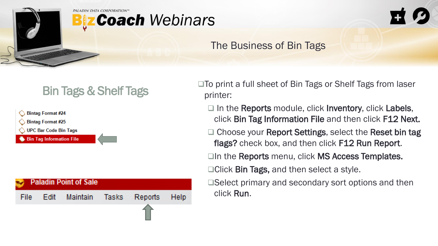



![](_page_7_Picture_2.jpeg)

![](_page_7_Figure_5.jpeg)

![](_page_7_Picture_6.jpeg)

■To print a full sheet of Bin Tags or Shelf Tags from laser<br>mrinter: printer:

> $\Box$  In the Reports module, click Inventory, click Labels, click Bin Tag Information File and then click F12 Next.

> □ Choose your Report Settings, select the Reset bin tag flags? check box, and then click F12 Run Report.

**□In the Reports menu, click MS Access Templates.** 

**□Click Bin Tags, and then select a style.** 

**□Select primary and secondary sort options and then** click Run.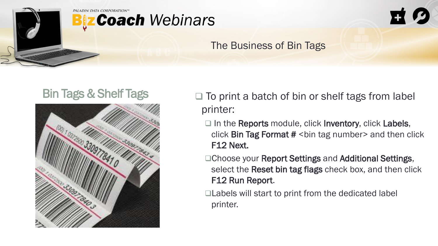![](_page_8_Picture_0.jpeg)

## **Biz Coach Webinars**

![](_page_8_Picture_2.jpeg)

#### The Business of Bin Tags

![](_page_8_Picture_5.jpeg)

- Bin Tags & Shelf Tags  $\Box$  To print a batch of bin or shelf tags from label printer:
	- $\Box$  In the Reports module, click Inventory, click Labels, click Bin Tag Format  $#$  <br/>shing tag number> and then click F12 Next.
	- □Choose your Report Settings and Additional Settings, select the Reset bin tag flags check box, and then click F12 Run Report.
	- □Labels will start to print from the dedicated label printer.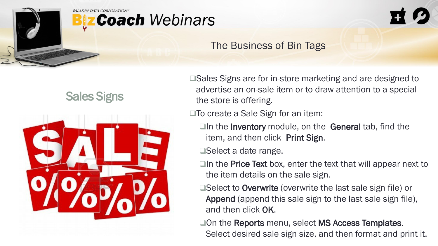![](_page_9_Picture_0.jpeg)

![](_page_9_Picture_1.jpeg)

![](_page_9_Picture_2.jpeg)

![](_page_9_Picture_4.jpeg)

![](_page_9_Picture_5.jpeg)

**■Sales Signs are for in-store marketing and are designed to** advertise an on-sale item or to draw attention to a special the store is offering.

**□To create a Sale Sign for an item:** 

 $\Box$ In the Inventory module, on the General tab, find the item, and then click Print Sign.

 $\Box$ Select a date range.

 $\Box$ In the **Price Text** box, enter the text that will appear next to the item details on the sale sign.

**■Select to Overwrite** (overwrite the last sale sign file) or Append (append this sale sign to the last sale sign file), and then click OK.

**□On the Reports menu, select MS Access Templates.** Select desired sale sign size, and then format and print it.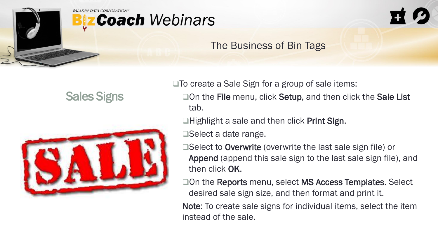![](_page_10_Picture_0.jpeg)

![](_page_10_Picture_1.jpeg)

### Sales Signs

![](_page_10_Picture_4.jpeg)

**□To create a Sale Sign for a group of sale items:** 

**□On the File menu, click Setup, and then click the Sale List** tab.

- □Highlight a sale and then click Print Sign.
- $\square$  Select a date range.
- **□Select to Overwrite** (overwrite the last sale sign file) or Append (append this sale sign to the last sale sign file), and then click OK.
- **□On the Reports menu, select MS Access Templates. Select** desired sale sign size, and then format and print it.

Note: To create sale signs for individual items, select the item instead of the sale.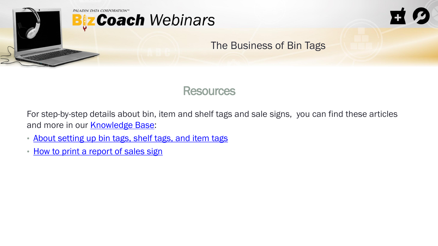![](_page_11_Picture_0.jpeg)

![](_page_11_Picture_1.jpeg)

**Resources** 

For step-by-step details about bin, item and shelf tags and sale signs, you can find these articles and more in our **Knowledge Base:** 

- [About setting up bin tags, shelf tags, and item tags](http://customerportal.paladinpos.com/knowledge-base/article?id=13d53228-6198-e511-80e9-3863bb36cca0)
- [How to print a report of sales sign](http://customerportal.paladinpos.com/knowledge-base/article?id=3b1b51cd-5498-e511-80e9-3863bb36cca0)